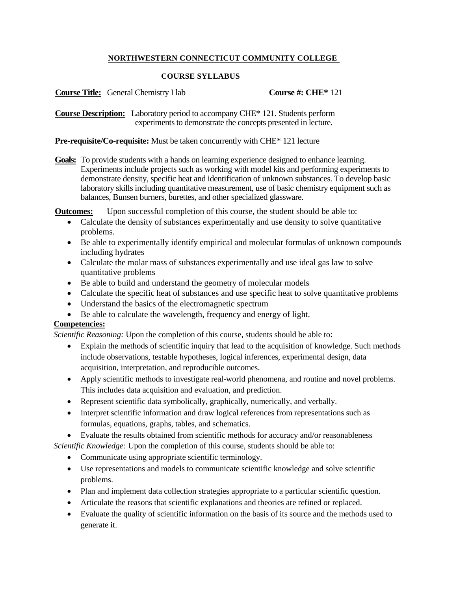### **NORTHWESTERN CONNECTICUT COMMUNITY COLLEGE**

### **COURSE SYLLABUS**

| <b>Course Title:</b> General Chemistry I lab | Course #: $CHE*121$ |
|----------------------------------------------|---------------------|
|                                              |                     |

**Course Description:** Laboratory period to accompany CHE\* 121. Students perform experiments to demonstrate the concepts presented in lecture.

### **Pre-requisite/Co-requisite:** Must be taken concurrently with CHE\* 121 lecture

**Goals:** To provide students with a hands on learning experience designed to enhance learning. Experiments include projects such as working with model kits and performing experiments to demonstrate density, specific heat and identification of unknown substances. To develop basic laboratory skills including quantitative measurement, use of basic chemistry equipment such as balances, Bunsen burners, burettes, and other specialized glassware.

**Outcomes:** Upon successful completion of this course, the student should be able to:

- Calculate the density of substances experimentally and use density to solve quantitative problems.
- Be able to experimentally identify empirical and molecular formulas of unknown compounds including hydrates
- Calculate the molar mass of substances experimentally and use ideal gas law to solve quantitative problems
- Be able to build and understand the geometry of molecular models
- Calculate the specific heat of substances and use specific heat to solve quantitative problems
- Understand the basics of the electromagnetic spectrum
- Be able to calculate the wavelength, frequency and energy of light.

## **Competencies:**

*Scientific Reasoning:* Upon the completion of this course, students should be able to:

- Explain the methods of scientific inquiry that lead to the acquisition of knowledge. Such methods include observations, testable hypotheses, logical inferences, experimental design, data acquisition, interpretation, and reproducible outcomes.
- Apply scientific methods to investigate real-world phenomena, and routine and novel problems. This includes data acquisition and evaluation, and prediction.
- Represent scientific data symbolically, graphically, numerically, and verbally.
- Interpret scientific information and draw logical references from representations such as formulas, equations, graphs, tables, and schematics.
- Evaluate the results obtained from scientific methods for accuracy and/or reasonableness

*Scientific Knowledge:* Upon the completion of this course, students should be able to:

- Communicate using appropriate scientific terminology.
- Use representations and models to communicate scientific knowledge and solve scientific problems.
- Plan and implement data collection strategies appropriate to a particular scientific question.
- Articulate the reasons that scientific explanations and theories are refined or replaced.
- Evaluate the quality of scientific information on the basis of its source and the methods used to generate it.